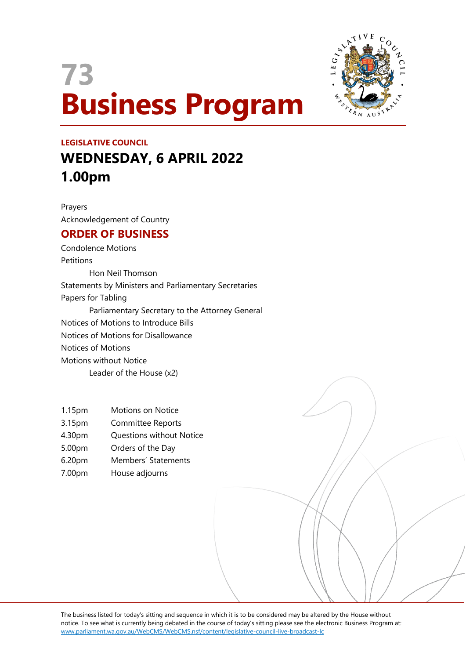# **73 Business Program**



## **LEGISLATIVE COUNCIL WEDNESDAY, 6 APRIL 2022 1.00pm**

Prayers Acknowledgement of Country

### **ORDER OF BUSINESS**

Condolence Motions **Petitions** Hon Neil Thomson Statements by Ministers and Parliamentary Secretaries Papers for Tabling Parliamentary Secretary to the Attorney General Notices of Motions to Introduce Bills Notices of Motions for Disallowance Notices of Motions Motions without Notice Leader of the House (x2)

- 1.15pm Motions on Notice
- 3.15pm Committee Reports
- 4.30pm Questions without Notice
- 5.00pm Orders of the Day
- 6.20pm Members' Statements
- 7.00pm House adjourns

The business listed for today's sitting and sequence in which it is to be considered may be altered by the House without notice. To see what is currently being debated in the course of today's sitting please see the electronic Business Program at: www.parliament.wa.gov.au/WebCMS/WebCMS.nsf/content/legislative-council-live-broadcast-lc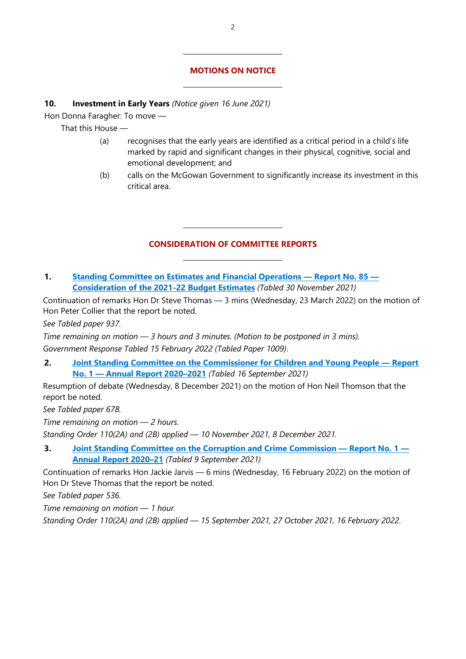#### **MOTIONS ON NOTICE**

#### **10. Investment in Early Years** *(Notice given 16 June 2021)*

 $\overline{a}$ 

 $\overline{a}$ 

 $\overline{a}$ 

 $\overline{a}$ 

Hon Donna Faragher: To move —

That this House —

- (a) recognises that the early years are identified as a critical period in a child's life marked by rapid and significant changes in their physical, cognitive, social and emotional development; and
- (b) calls on the McGowan Government to significantly increase its investment in this critical area.

#### **CONSIDERATION OF COMMITTEE REPORTS**

#### **1. [Standing Committee on Estimates and Financial Operations](http://intranet/parliament/commit.nsf/(Report+Lookup+by+Com+ID)/B80496BE545D6FDB4825879C0010464B/$file/ef.ehw22.211130.rpf.085.xx.web.pdf) — Report No. 85 — [Consideration of the 2021-22 Budget Estimates](http://intranet/parliament/commit.nsf/(Report+Lookup+by+Com+ID)/B80496BE545D6FDB4825879C0010464B/$file/ef.ehw22.211130.rpf.085.xx.web.pdf)** *(Tabled 30 November 2021)*

Continuation of remarks Hon Dr Steve Thomas — 3 mins (Wednesday, 23 March 2022) on the motion of Hon Peter Collier that the report be noted.

*See Tabled paper 937.*

*Time remaining on motion — 3 hours and 3 minutes. (Motion to be postponed in 3 mins). Government Response Tabled 15 February 2022 (Tabled Paper 1009)*.

#### **2. [Joint Standing Committee on the Commissioner for Children and Young People](https://www.parliament.wa.gov.au/Parliament/commit.nsf/(Report+Lookup+by+Com+ID)/8D30EF84A4C3463E48258752000A9E2F/$file/2020-21%20AR%20JSCCCYP%20final%20-.pdf) — Report No. 1 — [Annual Report 2020–2021](https://www.parliament.wa.gov.au/Parliament/commit.nsf/(Report+Lookup+by+Com+ID)/8D30EF84A4C3463E48258752000A9E2F/$file/2020-21%20AR%20JSCCCYP%20final%20-.pdf)** *(Tabled 16 September 2021)*

Resumption of debate (Wednesday, 8 December 2021) on the motion of Hon Neil Thomson that the report be noted.

*See Tabled paper 678.*

*Time remaining on motion — 2 hours.* 

*Standing Order 110(2A) and (2B) applied — 10 November 2021, 8 December 2021.*

**3. [Joint Standing Committee on the Corruption and Crime Commission](https://www.parliament.wa.gov.au/Parliament/commit.nsf/(Report+Lookup+by+Com+ID)/E909AD99A8A975794825874A0016281B/$file/Annual%20Report%202020-2021%20Final.pdf) — Report No. 1 — [Annual Report 2020–21](https://www.parliament.wa.gov.au/Parliament/commit.nsf/(Report+Lookup+by+Com+ID)/E909AD99A8A975794825874A0016281B/$file/Annual%20Report%202020-2021%20Final.pdf)** *(Tabled 9 September 2021)*

Continuation of remarks Hon Jackie Jarvis — 6 mins (Wednesday, 16 February 2022) on the motion of Hon Dr Steve Thomas that the report be noted.

*See Tabled paper 536.*

*Time remaining on motion — 1 hour.* 

*Standing Order 110(2A) and (2B) applied — 15 September 2021, 27 October 2021, 16 February 2022*.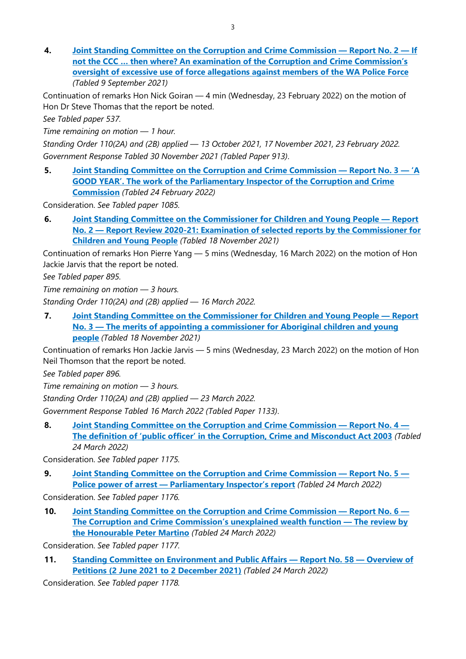**4. [Joint Standing Committee on the Corruption and Crime](https://www.parliament.wa.gov.au/Parliament/commit.nsf/(Report+Lookup+by+Com+ID)/FDA26B0C31AFEC394825874A00166C49/$file/Report%202%20-%20If%20not%20the%20CCC%20...%20then%20where_%20Final%20document.pdf) Commission — Report No. 2 — If [not the CCC … then where? An examination of the Corruption and Crime Commission's](https://www.parliament.wa.gov.au/Parliament/commit.nsf/(Report+Lookup+by+Com+ID)/FDA26B0C31AFEC394825874A00166C49/$file/Report%202%20-%20If%20not%20the%20CCC%20...%20then%20where_%20Final%20document.pdf)  [oversight of excessive use of force allegations against members of the WA Police Force](https://www.parliament.wa.gov.au/Parliament/commit.nsf/(Report+Lookup+by+Com+ID)/FDA26B0C31AFEC394825874A00166C49/$file/Report%202%20-%20If%20not%20the%20CCC%20...%20then%20where_%20Final%20document.pdf)** *(Tabled 9 September 2021)*

Continuation of remarks Hon Nick Goiran — 4 min (Wednesday, 23 February 2022) on the motion of Hon Dr Steve Thomas that the report be noted.

*See Tabled paper 537.*

*Time remaining on motion — 1 hour.*

*Standing Order 110(2A) and (2B) applied — 13 October 2021, 17 November 2021, 23 February 2022. Government Response Tabled 30 November 2021 (Tabled Paper 913)*.

**5. [Joint Standing Committee on the Corruption and Crime Commission](https://www.parliament.wa.gov.au/Parliament/commit.nsf/(Report+Lookup+by+Com+ID)/A1096F15DF205975482587F20036A00F/$file/Report%203%20-%20A%20good%20year%20the%20work%20of%20the%20Parliamentary%20Inspector%20-%20Final%20Update.pdf) — Report No. 3 — 'A [GOOD YEAR'. The work of the Parliamentary Inspector of the Corruption and Crime](https://www.parliament.wa.gov.au/Parliament/commit.nsf/(Report+Lookup+by+Com+ID)/A1096F15DF205975482587F20036A00F/$file/Report%203%20-%20A%20good%20year%20the%20work%20of%20the%20Parliamentary%20Inspector%20-%20Final%20Update.pdf)  [Commission](https://www.parliament.wa.gov.au/Parliament/commit.nsf/(Report+Lookup+by+Com+ID)/A1096F15DF205975482587F20036A00F/$file/Report%203%20-%20A%20good%20year%20the%20work%20of%20the%20Parliamentary%20Inspector%20-%20Final%20Update.pdf)** *(Tabled 24 February 2022)*

Consideration. *See Tabled paper 1085.*

**6. [Joint Standing Committee on the Commissioner for Children and Young People](https://www.parliament.wa.gov.au/Parliament/commit.nsf/(Report+Lookup+by+Com+ID)/E50F8E8D1EE3B8E24825879000284045/$file/39119405.PDF) — Report No. 2 — [Report Review 2020-21: Examination of selected reports by the Commissioner for](https://www.parliament.wa.gov.au/Parliament/commit.nsf/(Report+Lookup+by+Com+ID)/E50F8E8D1EE3B8E24825879000284045/$file/39119405.PDF)  [Children and Young People](https://www.parliament.wa.gov.au/Parliament/commit.nsf/(Report+Lookup+by+Com+ID)/E50F8E8D1EE3B8E24825879000284045/$file/39119405.PDF)** *(Tabled 18 November 2021)*

Continuation of remarks Hon Pierre Yang — 5 mins (Wednesday, 16 March 2022) on the motion of Hon Jackie Jarvis that the report be noted.

*See Tabled paper 895.*

*Time remaining on motion — 3 hours.*

*Standing Order 110(2A) and (2B) applied — 16 March 2022.*

**7. [Joint Standing Committee on the Commissioner for Children and Young People](https://www.parliament.wa.gov.au/Parliament/commit.nsf/(Report+Lookup+by+Com+ID)/9880D7454F4CE9374825879000285D0F/$file/39902060.pdf) — Report No. 3 — [The merits of appointing a commissioner for Aboriginal children and young](https://www.parliament.wa.gov.au/Parliament/commit.nsf/(Report+Lookup+by+Com+ID)/9880D7454F4CE9374825879000285D0F/$file/39902060.pdf)  [people](https://www.parliament.wa.gov.au/Parliament/commit.nsf/(Report+Lookup+by+Com+ID)/9880D7454F4CE9374825879000285D0F/$file/39902060.pdf)** *(Tabled 18 November 2021)*

Continuation of remarks Hon Jackie Jarvis — 5 mins (Wednesday, 23 March 2022) on the motion of Hon Neil Thomson that the report be noted.

*See Tabled paper 896.*

*Time remaining on motion — 3 hours.*

*Standing Order 110(2A) and (2B) applied — 23 March 2022.*

*Government Response Tabled 16 March 2022 (Tabled Paper 1133)*.

**8. [Joint Standing Committee on the Corruption and Crime Commission](https://www.parliament.wa.gov.au/Parliament/commit.nsf/(Report+Lookup+by+Com+ID)/ED9D3F6485BC23034825880E00285532/$file/Report%204%20-%20The%20definition%20of%20) — Report No. 4 — [The definition of 'public officer' in the Corruption, Crime and Misconduct Act 2003](https://www.parliament.wa.gov.au/Parliament/commit.nsf/(Report+Lookup+by+Com+ID)/ED9D3F6485BC23034825880E00285532/$file/Report%204%20-%20The%20definition%20of%20)** *(Tabled 24 March 2022)*

Consideration. *See Tabled paper 1175.*

**9. [Joint Standing Committee on the Corruption and Crime Commission](https://www.parliament.wa.gov.au/Parliament/commit.nsf/(Report+Lookup+by+Com+ID)/9EAD3D6C0B2838F04825880E00289F11/$file/Report%205%20-%20Police%20power%20of%20arrest%20-%20Parliamentary%20Inspector) — Report No. 5 — Police power of arrest — [Parliamentary Inspector's report](https://www.parliament.wa.gov.au/Parliament/commit.nsf/(Report+Lookup+by+Com+ID)/9EAD3D6C0B2838F04825880E00289F11/$file/Report%205%20-%20Police%20power%20of%20arrest%20-%20Parliamentary%20Inspector)** *(Tabled 24 March 2022)*

Consideration. *See Tabled paper 1176.*

**10. [Joint Standing Committee on the Corruption and Crime Commission](https://www.parliament.wa.gov.au/Parliament/commit.nsf/(Report+Lookup+by+Com+ID)/D37971919A2CDBB14825880E00281ED3/$file/Report%206%20-%20The%20CCC) — Report No. 6 — [The Corruption and Crime Commission's unexplained wealth function](https://www.parliament.wa.gov.au/Parliament/commit.nsf/(Report+Lookup+by+Com+ID)/D37971919A2CDBB14825880E00281ED3/$file/Report%206%20-%20The%20CCC) — The review by [the Honourable Peter Martino](https://www.parliament.wa.gov.au/Parliament/commit.nsf/(Report+Lookup+by+Com+ID)/D37971919A2CDBB14825880E00281ED3/$file/Report%206%20-%20The%20CCC)** *(Tabled 24 March 2022)*

Consideration. *See Tabled paper 1177.*

**11. [Standing Committee on Environment and Public Affairs](https://www.parliament.wa.gov.au/Parliament/commit.nsf/(Report+Lookup+by+Com+ID)/EDCAB3750928D63A4825880F00124DCF/$file/ev.pet21.220324.rpf.058.xx.pdf) — Report No. 58 — Overview of [Petitions \(2 June 2021 to 2 December 2021\)](https://www.parliament.wa.gov.au/Parliament/commit.nsf/(Report+Lookup+by+Com+ID)/EDCAB3750928D63A4825880F00124DCF/$file/ev.pet21.220324.rpf.058.xx.pdf)** *(Tabled 24 March 2022)*

Consideration. *See Tabled paper 1178.*